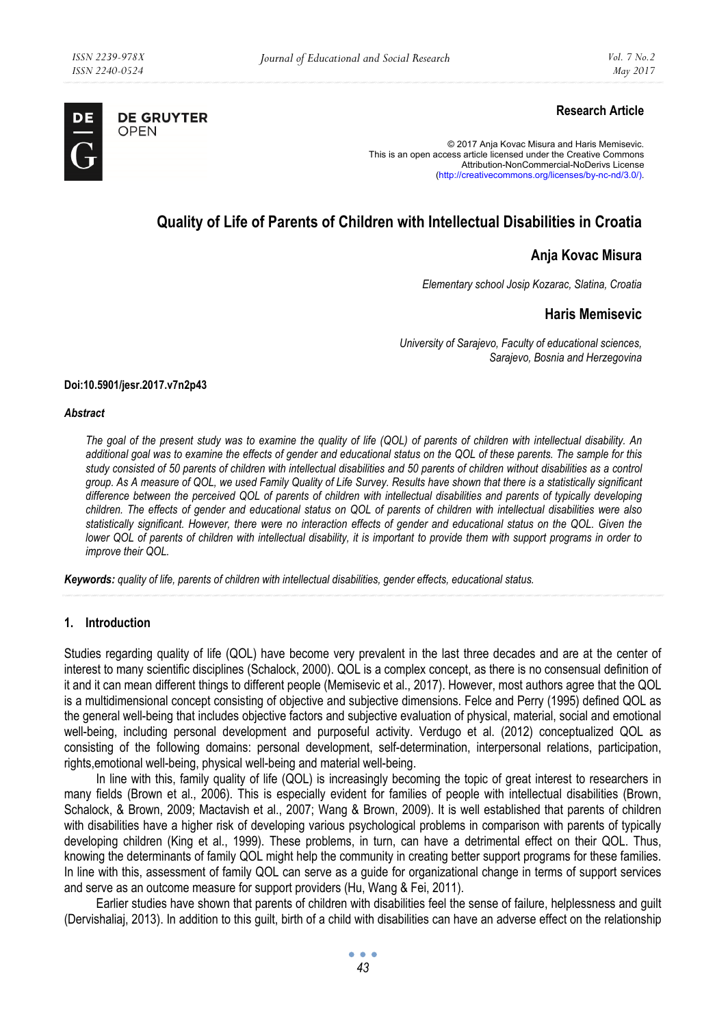

**DE GRUYTER** OPEN

# **Research Article**

© 2017 Anja Kovac Misura and Haris Memisevic. This is an open access article licensed under the Creative Commons Attribution-NonCommercial-NoDerivs License (http://creativecommons.org/licenses/by-nc-nd/3.0/).

# **Quality of Life of Parents of Children with Intellectual Disabilities in Croatia**

## **Anja Kovac Misura**

*Elementary school Josip Kozarac, Slatina, Croatia* 

## **Haris Memisevic**

*University of Sarajevo, Faculty of educational sciences, Sarajevo, Bosnia and Herzegovina* 

#### **Doi:10.5901/jesr.2017.v7n2p43**

#### *Abstract*

*The goal of the present study was to examine the quality of life (QOL) of parents of children with intellectual disability. An additional goal was to examine the effects of gender and educational status on the QOL of these parents. The sample for this study consisted of 50 parents of children with intellectual disabilities and 50 parents of children without disabilities as a control group. As A measure of QOL, we used Family Quality of Life Survey. Results have shown that there is a statistically significant difference between the perceived QOL of parents of children with intellectual disabilities and parents of typically developing children. The effects of gender and educational status on QOL of parents of children with intellectual disabilities were also*  statistically significant. However, there were no interaction effects of gender and educational status on the QOL. Given the *lower QOL of parents of children with intellectual disability, it is important to provide them with support programs in order to improve their QOL.* 

*Keywords: quality of life, parents of children with intellectual disabilities, gender effects, educational status.* 

## **1. Introduction**

Studies regarding quality of life (QOL) have become very prevalent in the last three decades and are at the center of interest to many scientific disciplines (Schalock, 2000). QOL is a complex concept, as there is no consensual definition of it and it can mean different things to different people (Memisevic et al., 2017). However, most authors agree that the QOL is a multidimensional concept consisting of objective and subjective dimensions. Felce and Perry (1995) defined QOL as the general well-being that includes objective factors and subjective evaluation of physical, material, social and emotional well-being, including personal development and purposeful activity. Verdugo et al. (2012) conceptualized QOL as consisting of the following domains: personal development, self-determination, interpersonal relations, participation, rights,emotional well-being, physical well-being and material well-being.

In line with this, family quality of life (QOL) is increasingly becoming the topic of great interest to researchers in many fields (Brown et al., 2006). This is especially evident for families of people with intellectual disabilities (Brown, Schalock, & Brown, 2009; Mactavish et al., 2007; Wang & Brown, 2009). It is well established that parents of children with disabilities have a higher risk of developing various psychological problems in comparison with parents of typically developing children (King et al., 1999). These problems, in turn, can have a detrimental effect on their QOL. Thus, knowing the determinants of family QOL might help the community in creating better support programs for these families. In line with this, assessment of family QOL can serve as a guide for organizational change in terms of support services and serve as an outcome measure for support providers (Hu, Wang & Fei, 2011).

Earlier studies have shown that parents of children with disabilities feel the sense of failure, helplessness and guilt (Dervishaliaj, 2013). In addition to this guilt, birth of a child with disabilities can have an adverse effect on the relationship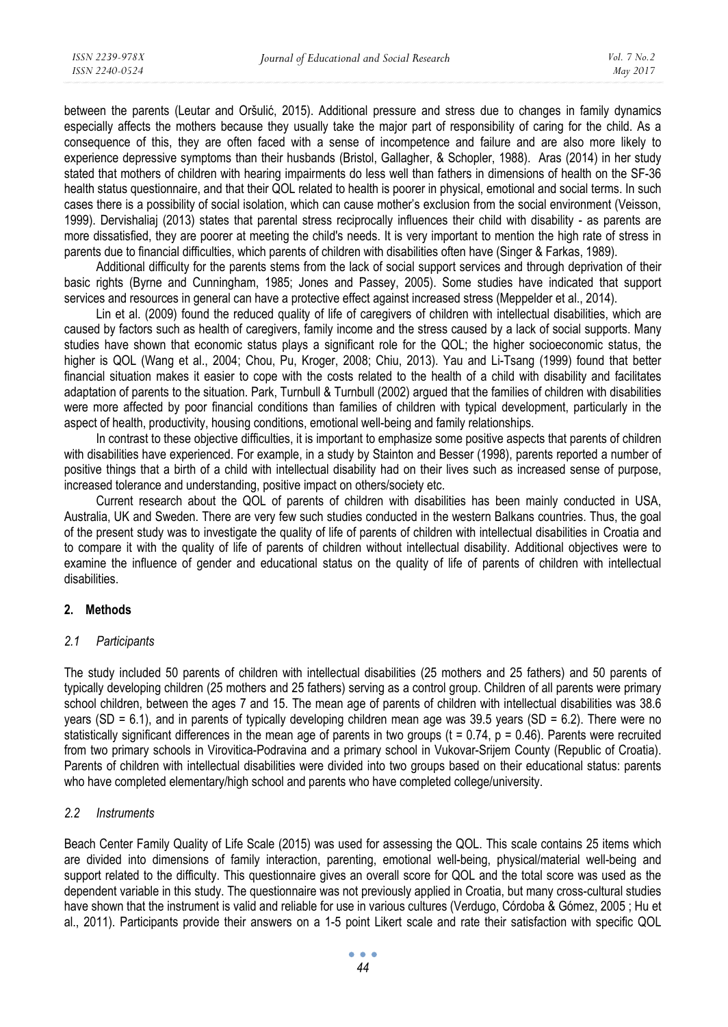between the parents (Leutar and Oršulić, 2015). Additional pressure and stress due to changes in family dynamics especially affects the mothers because they usually take the major part of responsibility of caring for the child. As a consequence of this, they are often faced with a sense of incompetence and failure and are also more likely to experience depressive symptoms than their husbands (Bristol, Gallagher, & Schopler, 1988). Aras (2014) in her study stated that mothers of children with hearing impairments do less well than fathers in dimensions of health on the SF-36 health status questionnaire, and that their QOL related to health is poorer in physical, emotional and social terms. In such cases there is a possibility of social isolation, which can cause mother's exclusion from the social environment (Veisson, 1999). Dervishaliaj (2013) states that parental stress reciprocally influences their child with disability - as parents are more dissatisfied, they are poorer at meeting the child's needs. It is very important to mention the high rate of stress in parents due to financial difficulties, which parents of children with disabilities often have (Singer & Farkas, 1989).

Additional difficulty for the parents stems from the lack of social support services and through deprivation of their basic rights (Byrne and Cunningham, 1985; Jones and Passey, 2005). Some studies have indicated that support services and resources in general can have a protective effect against increased stress (Meppelder et al., 2014).

Lin et al. (2009) found the reduced quality of life of caregivers of children with intellectual disabilities, which are caused by factors such as health of caregivers, family income and the stress caused by a lack of social supports. Many studies have shown that economic status plays a significant role for the QOL; the higher socioeconomic status, the higher is QOL (Wang et al., 2004; Chou, Pu, Kroger, 2008; Chiu, 2013). Yau and Li-Tsang (1999) found that better financial situation makes it easier to cope with the costs related to the health of a child with disability and facilitates adaptation of parents to the situation. Park, Turnbull & Turnbull (2002) argued that the families of children with disabilities were more affected by poor financial conditions than families of children with typical development, particularly in the aspect of health, productivity, housing conditions, emotional well-being and family relationships.

In contrast to these objective difficulties, it is important to emphasize some positive aspects that parents of children with disabilities have experienced. For example, in a study by Stainton and Besser (1998), parents reported a number of positive things that a birth of a child with intellectual disability had on their lives such as increased sense of purpose, increased tolerance and understanding, positive impact on others/society etc.

Current research about the QOL of parents of children with disabilities has been mainly conducted in USA, Australia, UK and Sweden. There are very few such studies conducted in the western Balkans countries. Thus, the goal of the present study was to investigate the quality of life of parents of children with intellectual disabilities in Croatia and to compare it with the quality of life of parents of children without intellectual disability. Additional objectives were to examine the influence of gender and educational status on the quality of life of parents of children with intellectual disabilities.

## **2. Methods**

#### *2.1 Participants*

The study included 50 parents of children with intellectual disabilities (25 mothers and 25 fathers) and 50 parents of typically developing children (25 mothers and 25 fathers) serving as a control group. Children of all parents were primary school children, between the ages 7 and 15. The mean age of parents of children with intellectual disabilities was 38.6 years (SD = 6.1), and in parents of typically developing children mean age was 39.5 years (SD = 6.2). There were no statistically significant differences in the mean age of parents in two groups (t =  $0.74$ , p =  $0.46$ ). Parents were recruited from two primary schools in Virovitica-Podravina and a primary school in Vukovar-Srijem County (Republic of Croatia). Parents of children with intellectual disabilities were divided into two groups based on their educational status: parents who have completed elementary/high school and parents who have completed college/university.

#### *2.2 Instruments*

Beach Center Family Quality of Life Scale (2015) was used for assessing the QOL. This scale contains 25 items which are divided into dimensions of family interaction, parenting, emotional well-being, physical/material well-being and support related to the difficulty. This questionnaire gives an overall score for QOL and the total score was used as the dependent variable in this study. The questionnaire was not previously applied in Croatia, but many cross-cultural studies have shown that the instrument is valid and reliable for use in various cultures (Verdugo, Córdoba & Gómez, 2005 ; Hu et al., 2011). Participants provide their answers on a 1-5 point Likert scale and rate their satisfaction with specific QOL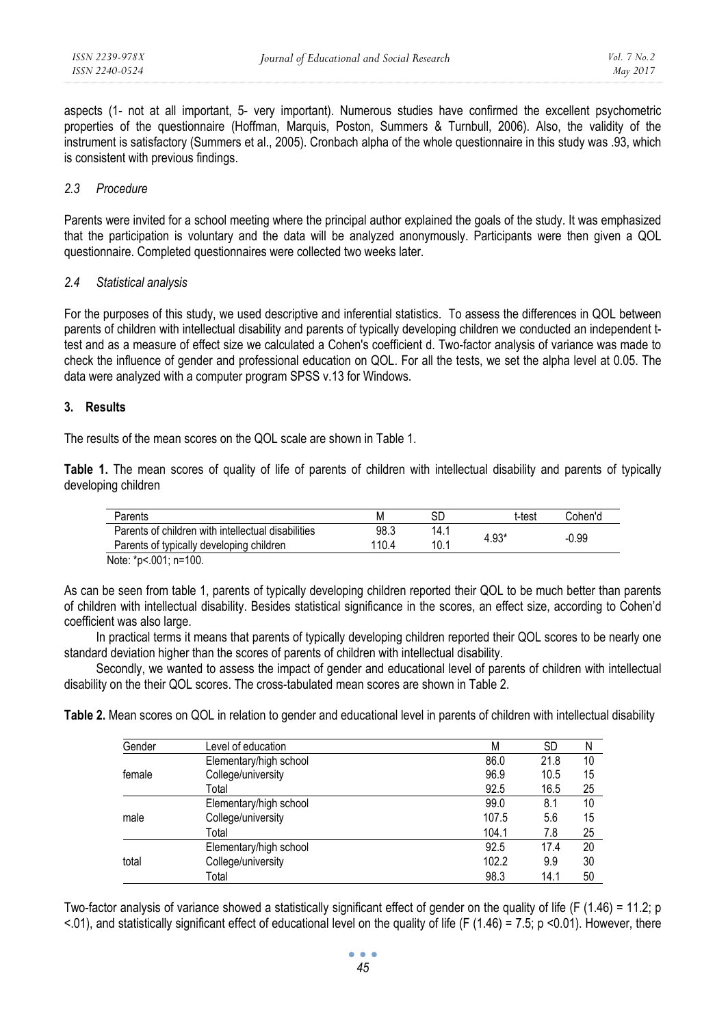aspects (1- not at all important, 5- very important). Numerous studies have confirmed the excellent psychometric properties of the questionnaire (Hoffman, Marquis, Poston, Summers & Turnbull, 2006). Also, the validity of the instrument is satisfactory (Summers et al., 2005). Cronbach alpha of the whole questionnaire in this study was .93, which is consistent with previous findings.

## *2.3 Procedure*

Parents were invited for a school meeting where the principal author explained the goals of the study. It was emphasized that the participation is voluntary and the data will be analyzed anonymously. Participants were then given a QOL questionnaire. Completed questionnaires were collected two weeks later.

### *2.4 Statistical analysis*

For the purposes of this study, we used descriptive and inferential statistics. To assess the differences in QOL between parents of children with intellectual disability and parents of typically developing children we conducted an independent ttest and as a measure of effect size we calculated a Cohen's coefficient d. Two-factor analysis of variance was made to check the influence of gender and professional education on QOL. For all the tests, we set the alpha level at 0.05. The data were analyzed with a computer program SPSS v.13 for Windows.

#### **3. Results**

The results of the mean scores on the QOL scale are shown in Table 1.

**Table 1.** The mean scores of quality of life of parents of children with intellectual disability and parents of typically developing children

| Parents                                            | Μ     | SС   | t-test  | Cohen'd |  |
|----------------------------------------------------|-------|------|---------|---------|--|
| Parents of children with intellectual disabilities | 98.3  | 14.1 | $4.93*$ | $-0.99$ |  |
| Parents of typically developing children           | 110.4 | 10.1 |         |         |  |
| Note: *p<.001: n=100.                              |       |      |         |         |  |

As can be seen from table 1, parents of typically developing children reported their QOL to be much better than parents of children with intellectual disability. Besides statistical significance in the scores, an effect size, according to Cohen'd coefficient was also large.

In practical terms it means that parents of typically developing children reported their QOL scores to be nearly one standard deviation higher than the scores of parents of children with intellectual disability.

Secondly, we wanted to assess the impact of gender and educational level of parents of children with intellectual disability on the their QOL scores. The cross-tabulated mean scores are shown in Table 2.

**Table 2.** Mean scores on QOL in relation to gender and educational level in parents of children with intellectual disability

| Gender | Level of education     | М     | <b>SD</b> | N  |
|--------|------------------------|-------|-----------|----|
| female | Elementary/high school | 86.0  | 21.8      | 10 |
|        | College/university     | 96.9  | 10.5      | 15 |
|        | Total                  | 92.5  | 16.5      | 25 |
| male   | Elementary/high school | 99.0  | 8.1       | 10 |
|        | College/university     | 107.5 | 5.6       | 15 |
|        | Total                  | 104.1 | 7.8       | 25 |
| total  | Elementary/high school | 92.5  | 17.4      | 20 |
|        | College/university     | 102.2 | 9.9       | 30 |
|        | Total                  | 98.3  | 14.1      | 50 |

Two-factor analysis of variance showed a statistically significant effect of gender on the quality of life (F (1.46) = 11.2; p  $< 0.01$ ), and statistically significant effect of educational level on the quality of life (F (1.46) = 7.5; p < 0.01). However, there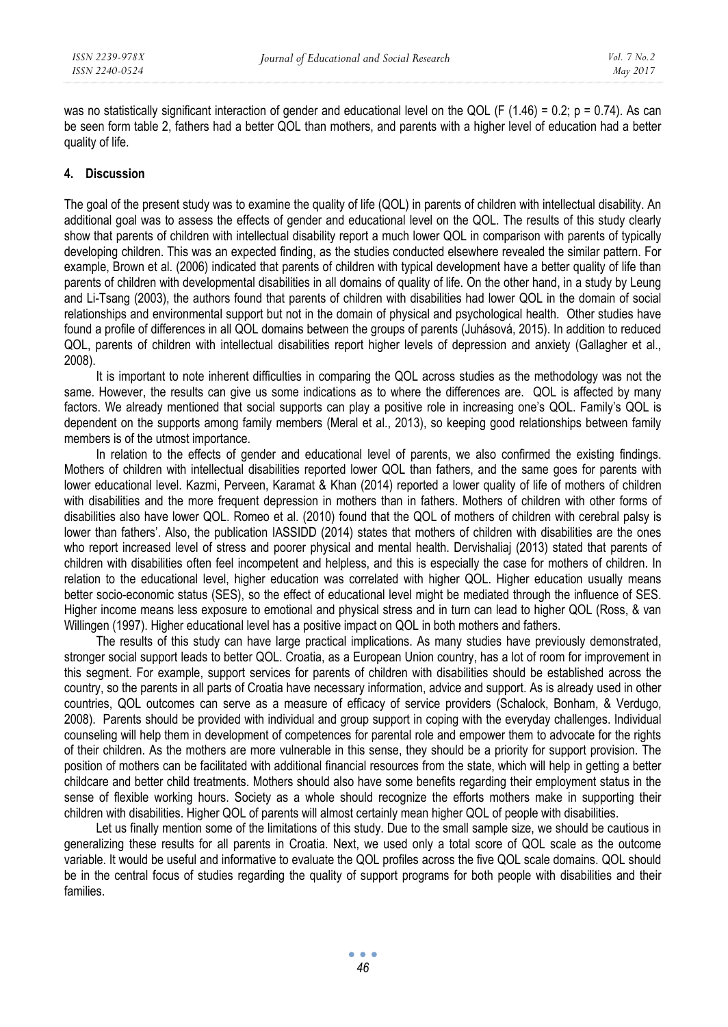was no statistically significant interaction of gender and educational level on the QOL (F (1.46) = 0.2;  $p = 0.74$ ). As can be seen form table 2, fathers had a better QOL than mothers, and parents with a higher level of education had a better quality of life.

## **4. Discussion**

The goal of the present study was to examine the quality of life (QOL) in parents of children with intellectual disability. An additional goal was to assess the effects of gender and educational level on the QOL. The results of this study clearly show that parents of children with intellectual disability report a much lower QOL in comparison with parents of typically developing children. This was an expected finding, as the studies conducted elsewhere revealed the similar pattern. For example, Brown et al. (2006) indicated that parents of children with typical development have a better quality of life than parents of children with developmental disabilities in all domains of quality of life. On the other hand, in a study by Leung and Li-Tsang (2003), the authors found that parents of children with disabilities had lower QOL in the domain of social relationships and environmental support but not in the domain of physical and psychological health. Other studies have found a profile of differences in all QOL domains between the groups of parents (Juhásová, 2015). In addition to reduced QOL, parents of children with intellectual disabilities report higher levels of depression and anxiety (Gallagher et al., 2008).

It is important to note inherent difficulties in comparing the QOL across studies as the methodology was not the same. However, the results can give us some indications as to where the differences are. QOL is affected by many factors. We already mentioned that social supports can play a positive role in increasing one's QOL. Family's QOL is dependent on the supports among family members (Meral et al., 2013), so keeping good relationships between family members is of the utmost importance.

In relation to the effects of gender and educational level of parents, we also confirmed the existing findings. Mothers of children with intellectual disabilities reported lower QOL than fathers, and the same goes for parents with lower educational level. Kazmi, Perveen, Karamat & Khan (2014) reported a lower quality of life of mothers of children with disabilities and the more frequent depression in mothers than in fathers. Mothers of children with other forms of disabilities also have lower QOL. Romeo et al. (2010) found that the QOL of mothers of children with cerebral palsy is lower than fathers'. Also, the publication IASSIDD (2014) states that mothers of children with disabilities are the ones who report increased level of stress and poorer physical and mental health. Dervishaliaj (2013) stated that parents of children with disabilities often feel incompetent and helpless, and this is especially the case for mothers of children. In relation to the educational level, higher education was correlated with higher QOL. Higher education usually means better socio-economic status (SES), so the effect of educational level might be mediated through the influence of SES. Higher income means less exposure to emotional and physical stress and in turn can lead to higher QOL (Ross, & van Willingen (1997). Higher educational level has a positive impact on QOL in both mothers and fathers.

The results of this study can have large practical implications. As many studies have previously demonstrated, stronger social support leads to better QOL. Croatia, as a European Union country, has a lot of room for improvement in this segment. For example, support services for parents of children with disabilities should be established across the country, so the parents in all parts of Croatia have necessary information, advice and support. As is already used in other countries, QOL outcomes can serve as a measure of efficacy of service providers (Schalock, Bonham, & Verdugo, 2008). Parents should be provided with individual and group support in coping with the everyday challenges. Individual counseling will help them in development of competences for parental role and empower them to advocate for the rights of their children. As the mothers are more vulnerable in this sense, they should be a priority for support provision. The position of mothers can be facilitated with additional financial resources from the state, which will help in getting a better childcare and better child treatments. Mothers should also have some benefits regarding their employment status in the sense of flexible working hours. Society as a whole should recognize the efforts mothers make in supporting their children with disabilities. Higher QOL of parents will almost certainly mean higher QOL of people with disabilities.

Let us finally mention some of the limitations of this study. Due to the small sample size, we should be cautious in generalizing these results for all parents in Croatia. Next, we used only a total score of QOL scale as the outcome variable. It would be useful and informative to evaluate the QOL profiles across the five QOL scale domains. QOL should be in the central focus of studies regarding the quality of support programs for both people with disabilities and their families.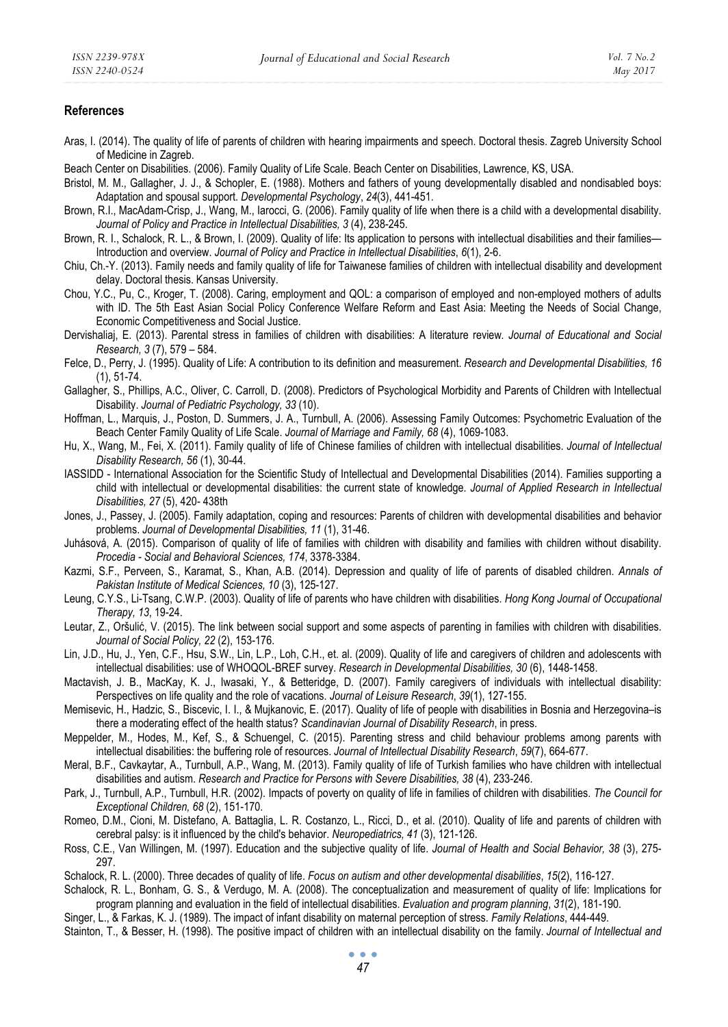## **References**

- Aras, I. (2014). The quality of life of parents of children with hearing impairments and speech. Doctoral thesis. Zagreb University School of Medicine in Zagreb.
- Beach Center on Disabilities. (2006). Family Quality of Life Scale. Beach Center on Disabilities, Lawrence, KS, USA.
- Bristol, M. M., Gallagher, J. J., & Schopler, E. (1988). Mothers and fathers of young developmentally disabled and nondisabled boys: Adaptation and spousal support. *Developmental Psychology*, *24*(3), 441-451.
- Brown, R.I., MacAdam-Crisp, J., Wang, M., Iarocci, G. (2006). Family quality of life when there is a child with a developmental disability. *Journal of Policy and Practice in Intellectual Disabilities, 3* (4), 238-245.
- Brown, R. I., Schalock, R. L., & Brown, I. (2009). Quality of life: Its application to persons with intellectual disabilities and their families— Introduction and overview. *Journal of Policy and Practice in Intellectual Disabilities*, *6*(1), 2-6.
- Chiu, Ch.-Y. (2013). Family needs and family quality of life for Taiwanese families of children with intellectual disability and development delay. Doctoral thesis. Kansas University.
- Chou, Y.C., Pu, C., Kroger, T. (2008). Caring, employment and QOL: a comparison of employed and non-employed mothers of adults with ID. The 5th East Asian Social Policy Conference Welfare Reform and East Asia: Meeting the Needs of Social Change, Economic Competitiveness and Social Justice.
- Dervishaliaj, E. (2013). Parental stress in families of children with disabilities: A literature review*. Journal of Educational and Social Research, 3* (7), 579 – 584.
- Felce, D., Perry, J. (1995). Quality of Life: A contribution to its definition and measurement. *Research and Developmental Disabilities, 16* (1), 51-74.
- Gallagher, S., Phillips, A.C., Oliver, C. Carroll, D. (2008). Predictors of Psychological Morbidity and Parents of Children with Intellectual Disability. *Journal of Pediatric Psychology, 33* (10).
- Hoffman, L., Marquis, J., Poston, D. Summers, J. A., Turnbull, A. (2006). Assessing Family Outcomes: Psychometric Evaluation of the Beach Center Family Quality of Life Scale. *Journal of Marriage and Family, 68* (4), 1069-1083.
- Hu, X., Wang, M., Fei, X. (2011). Family quality of life of Chinese families of children with intellectual disabilities. *Journal of Intellectual Disability Research, 56* (1), 30-44.
- IASSIDD International Association for the Scientific Study of Intellectual and Developmental Disabilities (2014). Families supporting a child with intellectual or developmental disabilities: the current state of knowledge. *Journal of Applied Research in Intellectual Disabilities, 27* (5), 420- 438th
- Jones, J., Passey, J. (2005). Family adaptation, coping and resources: Parents of children with developmental disabilities and behavior problems. *Journal of Developmental Disabilities, 11* (1), 31-46.
- Juhásová, A. (2015). Comparison of quality of life of families with children with disability and families with children without disability. *Procedia - Social and Behavioral Sciences, 174*, 3378-3384.
- Kazmi, S.F., Perveen, S., Karamat, S., Khan, A.B. (2014). Depression and quality of life of parents of disabled children. *Annals of Pakistan Institute of Medical Sciences, 10* (3), 125-127.
- Leung, C.Y.S., Li-Tsang, C.W.P. (2003). Quality of life of parents who have children with disabilities. *Hong Kong Journal of Occupational Therapy, 13*, 19-24.
- Leutar, Z., Oršulić, V. (2015). The link between social support and some aspects of parenting in families with children with disabilities. *Journal of Social Policy, 22* (2), 153-176.
- Lin, J.D., Hu, J., Yen, C.F., Hsu, S.W., Lin, L.P., Loh, C.H., et. al. (2009). Quality of life and caregivers of children and adolescents with intellectual disabilities: use of WHOQOL-BREF survey. *Research in Developmental Disabilities, 30* (6), 1448-1458.
- Mactavish, J. B., MacKay, K. J., Iwasaki, Y., & Betteridge, D. (2007). Family caregivers of individuals with intellectual disability: Perspectives on life quality and the role of vacations. *Journal of Leisure Research*, *39*(1), 127-155.
- Memisevic, H., Hadzic, S., Biscevic, I. I., & Mujkanovic, E. (2017). Quality of life of people with disabilities in Bosnia and Herzegovina–is there a moderating effect of the health status? *Scandinavian Journal of Disability Research*, in press.
- Meppelder, M., Hodes, M., Kef, S., & Schuengel, C. (2015). Parenting stress and child behaviour problems among parents with intellectual disabilities: the buffering role of resources. *Journal of Intellectual Disability Research*, *59*(7), 664-677.
- Meral, B.F., Cavkaytar, A., Turnbull, A.P., Wang, M. (2013). Family quality of life of Turkish families who have children with intellectual disabilities and autism. *Research and Practice for Persons with Severe Disabilities, 38* (4), 233-246.
- Park, J., Turnbull, A.P., Turnbull, H.R. (2002). Impacts of poverty on quality of life in families of children with disabilities. *The Council for Exceptional Children, 68* (2), 151-170.
- Romeo, D.M., Cioni, M. Distefano, A. Battaglia, L. R. Costanzo, L., Ricci, D., et al. (2010). Quality of life and parents of children with cerebral palsy: is it influenced by the child's behavior. *Neuropediatrics, 41* (3), 121-126.
- Ross, C.E., Van Willingen, M. (1997). Education and the subjective quality of life. *Journal of Health and Social Behavior, 38* (3), 275- 297.
- Schalock, R. L. (2000). Three decades of quality of life. *Focus on autism and other developmental disabilities*, *15*(2), 116-127.
- Schalock, R. L., Bonham, G. S., & Verdugo, M. A. (2008). The conceptualization and measurement of quality of life: Implications for program planning and evaluation in the field of intellectual disabilities. *Evaluation and program planning*, *31*(2), 181-190.
- Singer, L., & Farkas, K. J. (1989). The impact of infant disability on maternal perception of stress. *Family Relations*, 444-449.
- Stainton, T., & Besser, H. (1998). The positive impact of children with an intellectual disability on the family. *Journal of Intellectual and*